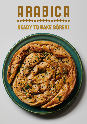## ARABICA READY TO BAKE BÖREGI